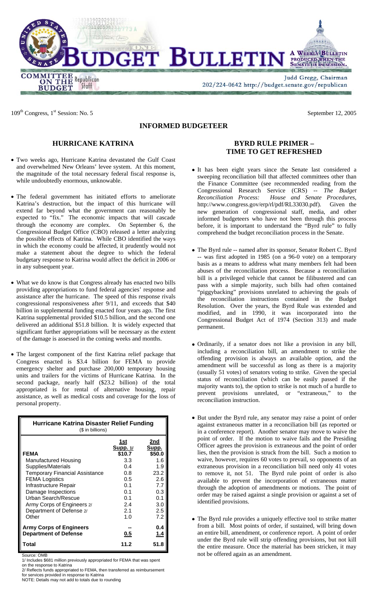

109<sup>th</sup> Congress, 1<sup>st</sup> Session: No. 5 September 12, 2005

# **INFORMED BUDGETEER**

# **HURRICANE KATRINA**

- Two weeks ago, Hurricane Katrina devastated the Gulf Coast and overwhelmed New Orleans' levee system. At this moment, the magnitude of the total necessary federal fiscal response is, while undoubtedly enormous, unknowable.
- The federal government has initiated efforts to ameliorate Katrina's destruction, but the impact of this hurricane will extend far beyond what the government can reasonably be expected to "fix." The economic impacts that will cascade through the economy are complex. On September 6, the Congressional Budget Office (CBO) released a letter analyzing the possible effects of Katrina. While CBO identified the ways in which the economy could be affected, it prudently would not make a statement about the degree to which the federal budgetary response to Katrina would affect the deficit in 2006 or in any subsequent year.
- What we do know is that Congress already has enacted two bills providing appropriations to fund federal agencies' response and assistance after the hurricane. The speed of this response rivals congressional responsiveness after 9/11, and exceeds that \$40 billion in supplemental funding enacted four years ago. The first Katrina supplemental provided \$10.5 billion, and the second one delivered an additional \$51.8 billion. It is widely expected that significant further appropriations will be necessary as the extent of the damage is assessed in the coming weeks and months.
- The largest component of the first Katrina relief package that Congress enacted is \$3.4 billion for FEMA to provide emergency shelter and purchase 200,000 temporary housing units and trailers for the victims of Hurricane Katrina. In the second package, nearly half (\$23.2 billion) of the total appropriated is for rental of alternative housing, repair assistance, as well as medical costs and coverage for the loss of personal property.

| Hurricane Katrina Disaster Relief Funding<br>(\$ in billions)  |                                  |                        |
|----------------------------------------------------------------|----------------------------------|------------------------|
| <b>FEMA</b>                                                    | 1st<br><b>Supp. 1/</b><br>\$10.7 | 2nd<br>Supp.<br>\$50.0 |
| Manufactured Housing                                           | 3.3                              | 1.6                    |
| Supplies/Materials                                             | 0.4                              | 1.9                    |
| <b>Temporary Financial Assistance</b>                          | 0.8                              | 23.2                   |
| <b>FEMA Logistics</b>                                          | 0.5                              | 2.6                    |
| Infrastructure Repair                                          | 0.1                              | 7.7                    |
| Damage Inspections                                             | 0.1                              | 0.3                    |
| Urban Search/Rescue                                            | 0.1                              | 0.1                    |
| Army Corps of Engineers 2/                                     | 2.4                              | 3.0                    |
| Department of Defense 2/                                       | 2.1                              | 2.5                    |
| Other                                                          | 1.0                              | 7.2                    |
| <b>Army Corps of Engineers</b><br><b>Department of Defense</b> | 0.5                              | 0.4<br>1.4             |
| Total                                                          | 11.2                             | 51.8                   |

Source: OMB

1/ Includes \$681 million previously appropriated for FEMA that was spent on the response to Katrina

2/ Reflects funds appropriated to FEMA, then transferred as reimbursement for services provided in response to Katrina

NOTE: Details may not add to totals due to rounding

## **BYRD RULE PRIMER – TIME TO GET REFRESHED**

- It has been eight years since the Senate last considered a sweeping reconciliation bill that affected committees other than the Finance Committee (see recommended reading from the Congressional Research Service (CRS) -- *The Budget Reconciliation Process: House and Senate Procedures,* http://www.congress.gov/erp/rl/pdf/RL33030.pdf). Given the new generation of congressional staff, media, and other informed budgeteers who have not been through this process before, it is important to understand the "Byrd rule" to fully comprehend the budget reconciliation process in the Senate.
- The Byrd rule -- named after its sponsor, Senator Robert C. Byrd -- was first adopted in 1985 (on a 96-0 vote) on a temporary basis as a means to address what many members felt had been abuses of the reconciliation process. Because a reconciliation bill is a privileged vehicle that cannot be filibustered and can pass with a simple majority, such bills had often contained "piggybacking" provisions unrelated to achieving the goals of the reconciliation instructions contained in the Budget Resolution. Over the years, the Byrd Rule was extended and modified, and in 1990, it was incorporated into the Congressional Budget Act of 1974 (Section 313) and made permanent.
- Ordinarily, if a senator does not like a provision in any bill, including a reconciliation bill, an amendment to strike the offending provision is always an available option, and the amendment will be successful as long as there is a majority (usually 51 votes) of senators voting to strike. Given the special status of reconciliation (which can be easily passed if the majority wants to), the option to strike is not much of a hurdle to prevent provisions unrelated, or "extraneous," to the reconciliation instruction.
- But under the Byrd rule, any senator may raise a point of order against extraneous matter in a reconciliation bill (as reported or in a conference report). Another senator may move to waive the point of order. If the motion to waive fails and the Presiding Officer agrees the provision is extraneous and the point of order lies, then the provision is struck from the bill. Such a motion to waive, however, requires 60 votes to prevail, so opponents of an extraneous provision in a reconciliation bill need only 41 votes to remove it, not 51. The Byrd rule point of order is also available to prevent the incorporation of extraneous matter through the adoption of amendments or motions. The point of order may be raised against a single provision or against a set of identified provisions.
- The Byrd rule provides a uniquely effective tool to strike matter from a bill. Most points of order, if sustained, will bring down an entire bill, amendment, or conference report. A point of order under the Byrd rule will strip offending provisions, but not kill the entire measure. Once the material has been stricken, it may not be offered again as an amendment.